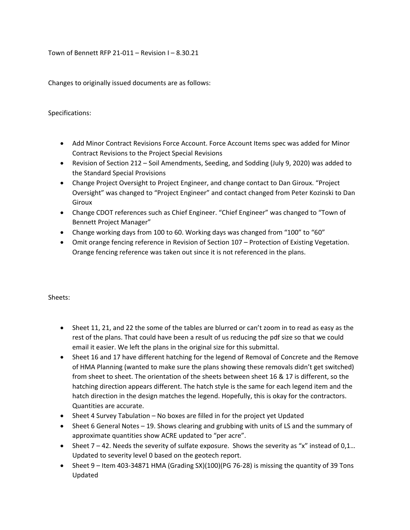Town of Bennett RFP 21-011 – Revision I – 8.30.21

Changes to originally issued documents are as follows:

## Specifications:

- Add Minor Contract Revisions Force Account. Force Account Items spec was added for Minor Contract Revisions to the Project Special Revisions
- Revision of Section 212 Soil Amendments, Seeding, and Sodding (July 9, 2020) was added to the Standard Special Provisions
- Change Project Oversight to Project Engineer, and change contact to Dan Giroux. "Project Oversight" was changed to "Project Engineer" and contact changed from Peter Kozinski to Dan Giroux
- Change CDOT references such as Chief Engineer. "Chief Engineer" was changed to "Town of Bennett Project Manager"
- Change working days from 100 to 60. Working days was changed from "100" to "60"
- Omit orange fencing reference in Revision of Section 107 Protection of Existing Vegetation. Orange fencing reference was taken out since it is not referenced in the plans.

## Sheets:

- Sheet 11, 21, and 22 the some of the tables are blurred or can't zoom in to read as easy as the rest of the plans. That could have been a result of us reducing the pdf size so that we could email it easier. We left the plans in the original size for this submittal.
- Sheet 16 and 17 have different hatching for the legend of Removal of Concrete and the Remove of HMA Planning (wanted to make sure the plans showing these removals didn't get switched) from sheet to sheet. The orientation of the sheets between sheet 16 & 17 is different, so the hatching direction appears different. The hatch style is the same for each legend item and the hatch direction in the design matches the legend. Hopefully, this is okay for the contractors. Quantities are accurate.
- Sheet 4 Survey Tabulation No boxes are filled in for the project yet Updated
- Sheet 6 General Notes 19. Shows clearing and grubbing with units of LS and the summary of approximate quantities show ACRE updated to "per acre".
- Sheet  $7 42$ . Needs the severity of sulfate exposure. Shows the severity as "x" instead of 0,1... Updated to severity level 0 based on the geotech report.
- Sheet 9 Item 403-34871 HMA (Grading SX)(100)(PG 76-28) is missing the quantity of 39 Tons Updated